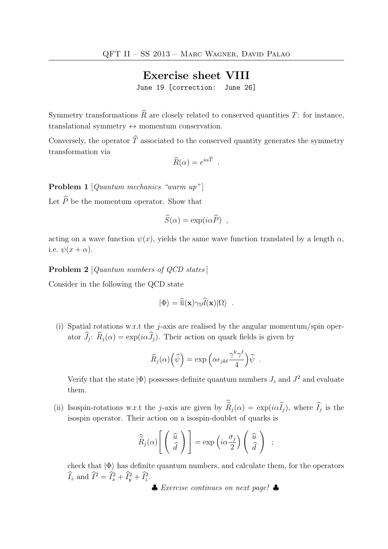## Exercise sheet VIII

June 19 [correction: June 26]

Symmetry transformations  $\widehat{R}$  are closely related to conserved quantities T: for instance, translational symmetry  $\leftrightarrow$  momentum conservation.

Conversely, the operator  $\widehat{T}$  associated to the conserved quantity generates the symmetry transformation via

$$
\widehat{R}(\alpha) = e^{i\alpha \widehat{T}} \ .
$$

Problem 1 [Quantum mechanics "warm up"]

Let  $\widehat{P}$  be the momentum operator. Show that

$$
\widehat{S}(\alpha) = \exp(i\alpha \widehat{P}) ,
$$

acting on a wave function  $\psi(x)$ , yields the same wave function translated by a length  $\alpha$ , i.e.  $\psi(x+\alpha)$ .

Problem 2 [Quantum numbers of QCD states]

Consider in the following the QCD state

$$
|\Phi\rangle = \widehat{\overline{u}}(\mathbf{x})\gamma_5 \widehat{d}(\mathbf{x})|\Omega\rangle \ .
$$

(i) Spatial rotations w.r.t the *j*-axis are realised by the angular momentum/spin operator  $J_j$ :  $R_j(\alpha) = \exp(i\alpha J_j)$ . Their action on quark fields is given by

$$
\widehat{R}_j(\alpha)\left(\widehat{\psi}\right) = \exp\left(\alpha \epsilon_{jk\ell} \frac{\gamma^k \gamma^\ell}{4}\right) \widehat{\psi} .
$$

Verify that the state  $|\Phi\rangle$  possesses definite quantum numbers  $J_z$  and  $J^2$  and evaluate them.

(ii) Isospin-rotations w.r.t the j-axis are given by  $R_j(\alpha) = \exp(i\alpha I_j)$ , where  $I_j$  is the isospin operator. Their action on a isospin-doublet of quarks is

$$
\widehat{\widetilde{R}}_j(\alpha)\left[\begin{pmatrix} \widehat{u} \\ \widehat{d} \end{pmatrix}\right] = \exp\left(i\alpha \frac{\sigma_j}{2}\right)\begin{pmatrix} \widehat{u} \\ \widehat{d} \end{pmatrix} ;
$$

check that  $|\Phi\rangle$  has definite quantum numbers, and calculate them, for the operators  $\widehat{I}_z$  and  $\widehat{I}^2 = \widehat{I}_x^2 + \widehat{I}_y^2 + \widehat{I}_z^2$ .

♣ Exercise continues on next page! ♣